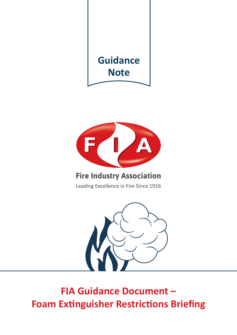



# **Fire Industry Association**

Leading Excellence in Fire Since 1916



**FIA Guidance Document -Foam Extinguisher Restrictions Briefing**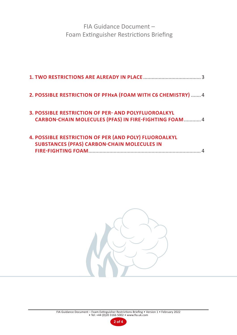FIA Guidance Document – Foam Extinguisher Restrictions Briefing

| 2. POSSIBLE RESTRICTION OF PFHxA (FOAM WITH C6 CHEMISTRY)  4                                                                |
|-----------------------------------------------------------------------------------------------------------------------------|
| <b>3. POSSIBLE RESTRICTION OF PER- AND POLYFLUOROALKYL</b><br><b>CARBON-CHAIN MOLECULES (PFAS) IN FIRE-FIGHTING FOAM  4</b> |
| <b>4. POSSIBLE RESTRICTION OF PER (AND POLY) FLUOROALKYL</b><br><b>SUBSTANCES (PFAS) CARBON-CHAIN MOLECULES IN</b>          |



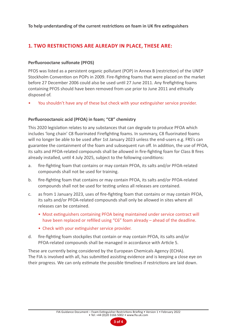**To help understanding of the current restrictions on foam in UK fire extinguishers**

## **1. TWO RESTRICTIONS ARE ALREADY IN PLACE, THESE ARE:**

#### **Perfluorooctane sulfonate (PFOS)**

PFOS was listed as a persistent organic pollutant (POP) in Annex B (restriction) of the UNEP Stockholm Convention on POPs in 2009. Fire-fighting foams that were placed on the market before 27 December 2006 could also be used until 27 June 2011. Any firefighting foams containing PFOS should have been removed from use prior to June 2011 and ethically disposed of.

• You shouldn't have any of these but check with your extinguisher service provider.

#### **Perfluorooctanoic acid (PFOA) in foam; "C8" chemistry**

This 2020 legislation relates to any substances that can degrade to produce PFOA which includes 'long chain' C8 fluorinated Firefighting foams. In summary, C8 fluorinated foams will no longer be able to be used after 1st January 2023 unless the end-users e.g. FRS's can guarantee the containment of the foam and subsequent run off. In addition, the use of PFOA, its salts and PFOA-related compounds shall be allowed in fire-fighting foam for Class B fires already installed, until 4 July 2025, subject to the following conditions:

- a. fire-fighting foam that contains or may contain PFOA, its salts and/or PFOA-related compounds shall not be used for training.
- b. fire-fighting foam that contains or may contain PFOA, its salts and/or PFOA-related compounds shall not be used for testing unless all releases are contained.
- c. as from 1 January 2023, uses of fire-fighting foam that contains or may contain PFOA, its salts and/or PFOA-related compounds shall only be allowed in sites where all releases can be contained.
	- Most extinguishers containing PFOA being maintained under service contract will have been replaced or refilled using "C6" foam already – ahead of the deadline.
	- Check with your extinguisher service provider.
- d. fire-fighting foam stockpiles that contain or may contain PFOA, its salts and/or PFOA-related compounds shall be managed in accordance with Article 5.

These are currently being considered by the European Chemicals Agency (ECHA). The FIA is involved with all, has submitted assisting evidence and is keeping a close eye on their progress. We can only estimate the possible timelines if restrictions are laid down.